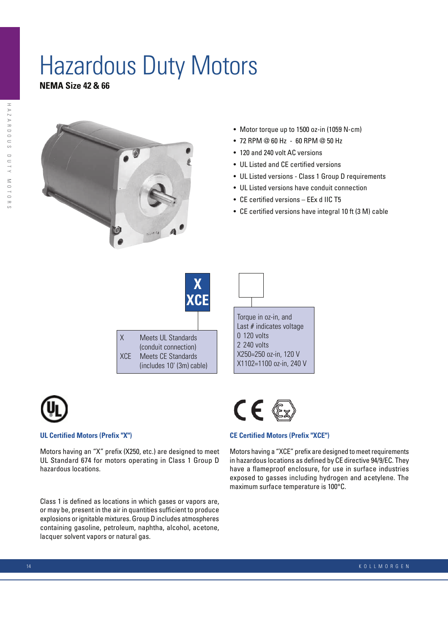# Hazardous Duty Motors

**NEMA Size 42 & 66**



- Motor torque up to 1500 oz-in (1059 N-cm)
- $\cdot$  72 RPM @ 60 Hz 60 RPM @ 50 Hz
- 120 and 240 volt AC versions
- UL Listed and CE certified versions
- UL Listed versions Class 1 Group D requirements
- UL Listed versions have conduit connection
- $\bullet$  CE certified versions EEx d IIC T5
- CE certified versions have integral 10 ft (3 M) cable





### **UL Certified Motors (Prefix "X")**

Motors having an "X" prefix (X250, etc.) are designed to meet UL Standard 674 for motors operating in Class 1 Group D hazardous locations.

Class 1 is defined as locations in which gases or vapors are, or may be, present in the air in quantities sufficient to produce explosions or ignitable mixtures. Group D includes atmospheres containing gasoline, petroleum, naphtha, alcohol, acetone, lacquer solvent vapors or natural gas.



Torque in oz-in, and Last # indicates voltage

X250=250 oz-in, 120 V X1102=1100 oz-in, 240 V

0 120 volts 2 240 volts

#### **CE Certified Motors (Prefix "XCE")**

Motors having a "XCE" prefix are designed to meet requirements in hazardous locations as defined by CE directive 94/9/EC. They have a flameproof enclosure, for use in surface industries exposed to gasses including hydrogen and acetylene. The maximum surface temperature is 100°C.

14 K O L L M O R G E N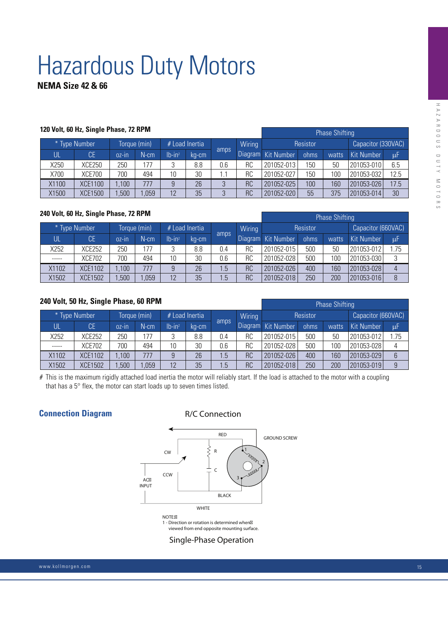# Hazardous Duty Motors

# **NEMA Size 42 & 66**

|               | 120 Volt, 60 Hz, Single Phase, 72 RPM |              |         | <b>Phase Shifting</b> |       |      |           |                    |      |       |                    |         |
|---------------|---------------------------------------|--------------|---------|-----------------------|-------|------|-----------|--------------------|------|-------|--------------------|---------|
| * Type Number |                                       | Torque (min) |         | # Load Inertia        |       |      | Wiring    | Resistor           |      |       | Capacitor (330VAC) |         |
| Ul            | <b>CE</b>                             | $0Z$ -IN     | $N$ -cm | $lb-in2$              | kg-cm | amps |           | Diagram Kit Number | ohms | watts | <b>Kit Number</b>  | $\mu$ F |
| X250          | <b>XCE250</b>                         | 250          | 177     |                       | 8.8   | 0.6  | RC        | 201052-013         | 150  | 50    | 201053-010         | 6.5     |
| X700          | <b>XCE700</b>                         | 700          | 494     | 10                    | 30    | l .1 | RC        | 201052-027         | 150  | 100   | 201053-032         | 12.5    |
| X1100         | <b>XCE1100</b>                        | 1,100        | 777     |                       | 26    | 3    | <b>RC</b> | 201052-025         | 100  | 160   | 201053-026         | 17.5    |
| X1500         | <b>XCE1500</b>                        | ,500         | ,059    | 12                    | 35    |      | <b>RC</b> | 201052-020         | 55   | 375   | 201053-014         | 30      |

| 240 Volt, 60 Hz, Single Phase, 72 RPM |                |              |                     |                       |       |      |           |                    |      |       |                    |      |  |
|---------------------------------------|----------------|--------------|---------------------|-----------------------|-------|------|-----------|--------------------|------|-------|--------------------|------|--|
|                                       |                |              |                     | <b>Phase Shifting</b> |       |      |           |                    |      |       |                    |      |  |
| * Type Number                         |                | Torque (min) |                     | $#$ Load Inertia      |       |      | Wiring    | Resistor           |      |       | Capacitor (660VAC) |      |  |
| Ul                                    | <b>CE</b>      | $0z$ - $n$   | $N$ -cm $^{\prime}$ | $lb-in2$              | ka-cm | amps |           | Diagram Kit Number | ohms | watts | <b>Kit Number</b>  | μF   |  |
| X252                                  | <b>XCE252</b>  | 250          | 177                 | ◠                     | 8.8   | 0.4  | RC        | 201052-015         | 500  | 50    | 201053-012         | 1.75 |  |
| -----                                 | <b>XCE702</b>  | 700          | 494                 | 10                    | 30    | 0.6  | RC        | 201052-028         | 500  | 100   | 201053-030         | 3    |  |
| X1102                                 | XCE1102        | .100         | 777                 |                       | 26    | 1.5  | <b>RC</b> | 201052-026         | 400  | 160   | 201053-028         | 4    |  |
| X1502                                 | <b>XCE1502</b> | ,500         | .059                | 12                    | 35    | 1.5  | RC        | 201052-018         | 250  | 200   | 201053-016         | 8    |  |

## **240 Volt, 50 Hz, Single Phase, 60 RPM**

|               | Z40 VOIL, JO NZ, SHIYIE FIIASE, OO NFIVI |              |         | <b>Phase Shifting</b> |       |      |           |                    |      |       |                    |     |
|---------------|------------------------------------------|--------------|---------|-----------------------|-------|------|-----------|--------------------|------|-------|--------------------|-----|
| * Type Number |                                          | Torque (min) |         | # Load Inertia        |       |      | Wiring    | Resistor           |      |       | Capacitor (660VAC) |     |
| UL            | <b>CE</b>                                | $0Z-1D$      | $N$ -cm | $Ib-in2$              | ka-cm | amps |           | Diagram Kit Number | ohms | watts | Kit Number         | μF  |
| X252          | <b>XCE252</b>                            | 250          | 177     |                       | 8.8   | 0.4  | RC        | 201052-015         | 500  | 50    | 201053-012         | .75 |
| -----         | <b>XCE702</b>                            | 700          | 494     | 10                    | 30    | 0.6  | RC        | 201052-028         | 500  | 100   | 201053-028         | 4   |
| X1102         | XCE1102                                  | ,100         | 777     |                       | 26    | 1.5  | <b>RC</b> | 201052-026         | 400  | 160   | 201053-029         | 6   |
| X1502         | <b>XCE1502</b>                           | ,500         | ,059    | 12                    | 35    | 1.5  | <b>RC</b> | 201052-018         | 250  | 200   | 201053-019         | 9   |

# This is the maximum rigidly attached load inertia the motor will reliably start. If the load is attached to the motor with a coupling that has a 5° flex, the motor can start loads up to seven times listed.

## **Connection Diagram**

R/C Connection



Single-Phase Operation